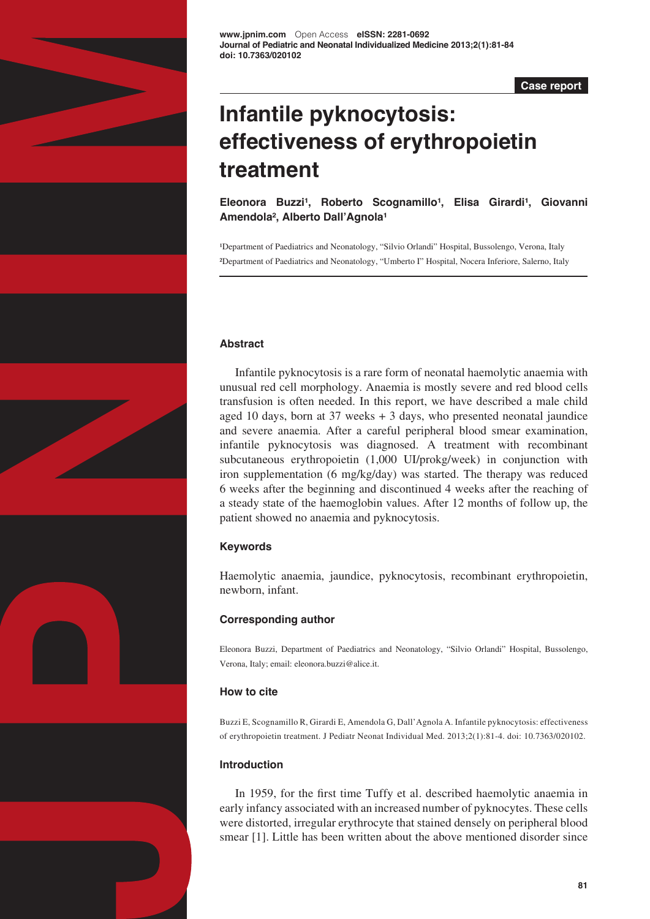

**[www.jpnim.com](http://www.jpnim.com)** Open Access **eISSN: 2281-0692 Journal of Pediatric and Neonatal Individualized Medicine 2013;2(1):81-84 doi: 10.7363/020102**

**Case report**

# **Infantile pyknocytosis: effectiveness of erythropoietin treatment**

Eleonora Buzzi<sup>1</sup>, Roberto Scognamillo<sup>1</sup>, Elisa Girardi<sup>1</sup>, Giovanni Amendola<sup>2</sup>, Alberto Dall'Agnola<sup>1</sup>

<sup>1</sup>Department of Paediatrics and Neonatology, "Silvio Orlandi" Hospital, Bussolengo, Verona, Italy ²Department of Paediatrics and Neonatology, "Umberto I" Hospital, Nocera Inferiore, Salerno, Italy

# **Abstract**

Infantile pyknocytosis is a rare form of neonatal haemolytic anaemia with unusual red cell morphology. Anaemia is mostly severe and red blood cells transfusion is often needed. In this report, we have described a male child aged 10 days, born at 37 weeks + 3 days, who presented neonatal jaundice and severe anaemia. After a careful peripheral blood smear examination, infantile pyknocytosis was diagnosed. A treatment with recombinant subcutaneous erythropoietin (1,000 UI/prokg/week) in conjunction with iron supplementation (6 mg/kg/day) was started. The therapy was reduced 6 weeks after the beginning and discontinued 4 weeks after the reaching of a steady state of the haemoglobin values. After 12 months of follow up, the patient showed no anaemia and pyknocytosis.

## **Keywords**

Haemolytic anaemia, jaundice, pyknocytosis, recombinant erythropoietin, newborn, infant.

# **Corresponding author**

Eleonora Buzzi, Department of Paediatrics and Neonatology, "Silvio Orlandi" Hospital, Bussolengo, Verona, Italy; email: eleonora.buzzi@alice.it.

## **How to cite**

Buzzi E, Scognamillo R, Girardi E, Amendola G, Dall'Agnola A. Infantile pyknocytosis: effectiveness of erythropoietin treatment. J Pediatr Neonat Individual Med. 2013;2(1):81-4. doi: 10.7363/020102.

# **Introduction**

In 1959, for the first time Tuffy et al. described haemolytic anaemia in early infancy associated with an increased number of pyknocytes. These cells were distorted, irregular erythrocyte that stained densely on peripheral blood smear [1]. Little has been written about the above mentioned disorder since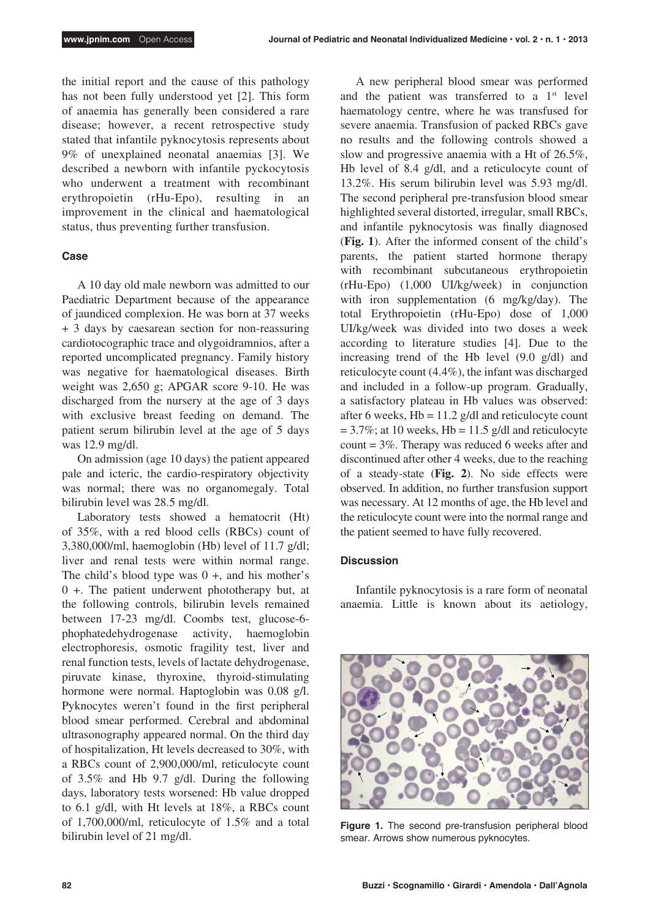the initial report and the cause of this pathology has not been fully understood yet [2]. This form of anaemia has generally been considered a rare disease; however, a recent retrospective study stated that infantile pyknocytosis represents about 9% of unexplained neonatal anaemias [3]. We described a newborn with infantile pyckocytosis who underwent a treatment with recombinant erythropoietin (rHu-Epo), resulting in an improvement in the clinical and haematological status, thus preventing further transfusion.

### **Case**

A 10 day old male newborn was admitted to our Paediatric Department because of the appearance of jaundiced complexion. He was born at 37 weeks + 3 days by caesarean section for non-reassuring cardiotocographic trace and olygoidramnios, after a reported uncomplicated pregnancy. Family history was negative for haematological diseases. Birth weight was 2,650 g; APGAR score 9-10. He was discharged from the nursery at the age of 3 days with exclusive breast feeding on demand. The patient serum bilirubin level at the age of 5 days was 12.9 mg/dl.

On admission (age 10 days) the patient appeared pale and icteric, the cardio-respiratory objectivity was normal; there was no organomegaly. Total bilirubin level was 28.5 mg/dl.

Laboratory tests showed a hematocrit (Ht) of 35%, with a red blood cells (RBCs) count of 3,380,000/ml, haemoglobin (Hb) level of 11.7 g/dl; liver and renal tests were within normal range. The child's blood type was  $0 +$ , and his mother's 0 +. The patient underwent phototherapy but, at the following controls, bilirubin levels remained between 17-23 mg/dl. Coombs test, glucose-6 phophatedehydrogenase activity, haemoglobin electrophoresis, osmotic fragility test, liver and renal function tests, levels of lactate dehydrogenase, piruvate kinase, thyroxine, thyroid-stimulating hormone were normal. Haptoglobin was 0.08 g/l. Pyknocytes weren't found in the first peripheral blood smear performed. Cerebral and abdominal ultrasonography appeared normal. On the third day of hospitalization, Ht levels decreased to 30%, with a RBCs count of 2,900,000/ml, reticulocyte count of 3.5% and Hb 9.7 g/dl. During the following days, laboratory tests worsened: Hb value dropped to 6.1 g/dl, with Ht levels at 18%, a RBCs count of 1,700,000/ml, reticulocyte of 1.5% and a total bilirubin level of 21 mg/dl.

A new peripheral blood smear was performed and the patient was transferred to a  $1<sup>st</sup>$  level haematology centre, where he was transfused for severe anaemia. Transfusion of packed RBCs gave no results and the following controls showed a slow and progressive anaemia with a Ht of 26.5%, Hb level of 8.4 g/dl, and a reticulocyte count of 13.2%. His serum bilirubin level was 5.93 mg/dl. The second peripheral pre-transfusion blood smear highlighted several distorted, irregular, small RBCs, and infantile pyknocytosis was finally diagnosed (**Fig. 1**). After the informed consent of the child's parents, the patient started hormone therapy with recombinant subcutaneous erythropoietin (rHu-Epo) (1,000 UI/kg/week) in conjunction with iron supplementation (6 mg/kg/day). The total Erythropoietin (rHu-Epo) dose of 1,000 UI/kg/week was divided into two doses a week according to literature studies [4]. Due to the increasing trend of the Hb level (9.0 g/dl) and reticulocyte count (4.4%), the infant was discharged and included in a follow-up program. Gradually, a satisfactory plateau in Hb values was observed: after 6 weeks,  $Hb = 11.2$  g/dl and reticulocyte count  $= 3.7\%$ ; at 10 weeks, Hb = 11.5 g/dl and reticulocyte count = 3%. Therapy was reduced 6 weeks after and discontinued after other 4 weeks, due to the reaching of a steady-state (**Fig. 2**). No side effects were observed. In addition, no further transfusion support was necessary. At 12 months of age, the Hb level and the reticulocyte count were into the normal range and the patient seemed to have fully recovered.

#### **Discussion**

Infantile pyknocytosis is a rare form of neonatal anaemia. Little is known about its aetiology,



**Figure 1.** The second pre-transfusion peripheral blood smear. Arrows show numerous pyknocytes.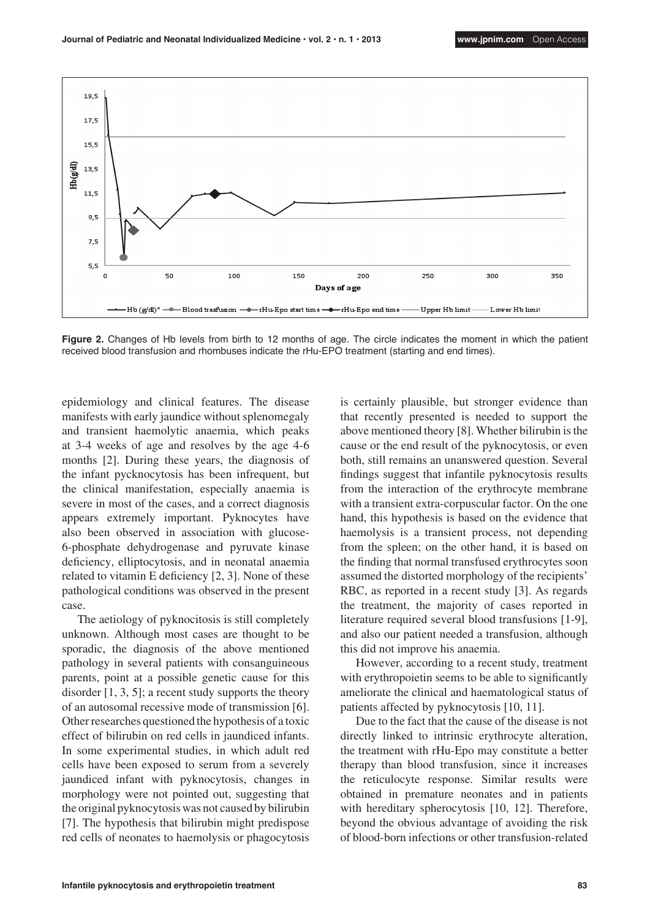

**Figure 2.** Changes of Hb levels from birth to 12 months of age. The circle indicates the moment in which the patient received blood transfusion and rhombuses indicate the rHu-EPO treatment (starting and end times).

epidemiology and clinical features. The disease manifests with early jaundice without splenomegaly and transient haemolytic anaemia, which peaks at 3-4 weeks of age and resolves by the age 4-6 months [2]. During these years, the diagnosis of the infant pycknocytosis has been infrequent, but the clinical manifestation, especially anaemia is severe in most of the cases, and a correct diagnosis appears extremely important. Pyknocytes have also been observed in association with glucose-6-phosphate dehydrogenase and pyruvate kinase deficiency, elliptocytosis, and in neonatal anaemia related to vitamin E deficiency [2, 3]. None of these pathological conditions was observed in the present case.

The aetiology of pyknocitosis is still completely unknown. Although most cases are thought to be sporadic, the diagnosis of the above mentioned pathology in several patients with consanguineous parents, point at a possible genetic cause for this disorder  $[1, 3, 5]$ ; a recent study supports the theory of an autosomal recessive mode of transmission [6]. Other researches questioned the hypothesis of a toxic effect of bilirubin on red cells in jaundiced infants. In some experimental studies, in which adult red cells have been exposed to serum from a severely jaundiced infant with pyknocytosis, changes in morphology were not pointed out, suggesting that the original pyknocytosis was not caused by bilirubin [7]. The hypothesis that bilirubin might predispose red cells of neonates to haemolysis or phagocytosis is certainly plausible, but stronger evidence than that recently presented is needed to support the above mentioned theory [8]. Whether bilirubin is the cause or the end result of the pyknocytosis, or even both, still remains an unanswered question. Several findings suggest that infantile pyknocytosis results from the interaction of the erythrocyte membrane with a transient extra-corpuscular factor. On the one hand, this hypothesis is based on the evidence that haemolysis is a transient process, not depending from the spleen; on the other hand, it is based on the finding that normal transfused erythrocytes soon assumed the distorted morphology of the recipients' RBC, as reported in a recent study [3]. As regards the treatment, the majority of cases reported in literature required several blood transfusions [1-9], and also our patient needed a transfusion, although this did not improve his anaemia.

However, according to a recent study, treatment with erythropoietin seems to be able to significantly ameliorate the clinical and haematological status of patients affected by pyknocytosis [10, 11].

Due to the fact that the cause of the disease is not directly linked to intrinsic erythrocyte alteration, the treatment with rHu-Epo may constitute a better therapy than blood transfusion, since it increases the reticulocyte response. Similar results were obtained in premature neonates and in patients with hereditary spherocytosis [10, 12]. Therefore, beyond the obvious advantage of avoiding the risk of blood-born infections or other transfusion-related